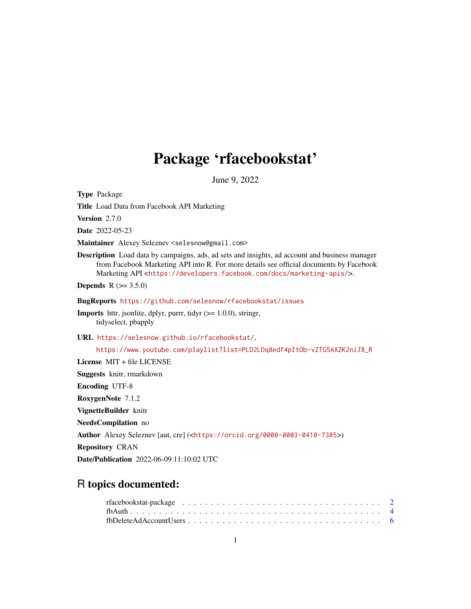# Package 'rfacebookstat'

June 9, 2022

Type Package Title Load Data from Facebook API Marketing Version 2.7.0 Date 2022-05-23 Maintainer Alexey Seleznev <selesnow@gmail.com> Description Load data by campaigns, ads, ad sets and insights, ad account and business manager from Facebook Marketing API into R. For more details see official documents by Facebook Marketing API <<https://developers.facebook.com/docs/marketing-apis/>>. **Depends** R  $(>= 3.5.0)$ BugReports <https://github.com/selesnow/rfacebookstat/issues> Imports httr, jsonlite, dplyr, purrr, tidyr (>= 1.0.0), stringr, tidyselect, pbapply URL <https://selesnow.github.io/rfacebookstat/>, [https://www.youtube.com/playlist?list=PLD2LDq8edf4pItOb-vZTG5AXZK2niJ8\\_R](https://www.youtube.com/playlist?list=PLD2LDq8edf4pItOb-vZTG5AXZK2niJ8_R) License MIT + file LICENSE Suggests knitr, rmarkdown Encoding UTF-8 RoxygenNote 7.1.2 VignetteBuilder knitr NeedsCompilation no Author Alexey Seleznev [aut, cre] (<<https://orcid.org/0000-0003-0410-7385>>) Repository CRAN Date/Publication 2022-06-09 11:10:02 UTC

# R topics documented: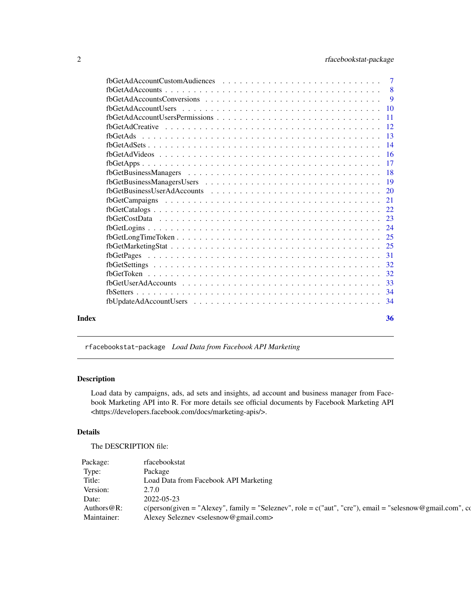<span id="page-1-0"></span>

|       |                                                                                                                    | $\overline{9}$ |
|-------|--------------------------------------------------------------------------------------------------------------------|----------------|
|       |                                                                                                                    |                |
|       |                                                                                                                    |                |
|       |                                                                                                                    |                |
|       |                                                                                                                    |                |
|       |                                                                                                                    |                |
|       |                                                                                                                    |                |
|       |                                                                                                                    |                |
|       |                                                                                                                    |                |
|       |                                                                                                                    |                |
|       |                                                                                                                    |                |
|       |                                                                                                                    |                |
|       |                                                                                                                    |                |
|       |                                                                                                                    |                |
|       |                                                                                                                    |                |
|       | $fbcetLongTimeToken \ldots \ldots \ldots \ldots \ldots \ldots \ldots \ldots \ldots \ldots \ldots \ldots \ldots 25$ |                |
|       |                                                                                                                    |                |
|       |                                                                                                                    |                |
|       |                                                                                                                    |                |
|       |                                                                                                                    |                |
|       |                                                                                                                    |                |
|       |                                                                                                                    |                |
|       |                                                                                                                    |                |
| Index |                                                                                                                    | 36             |
|       |                                                                                                                    |                |

rfacebookstat-package *Load Data from Facebook API Marketing*

# Description

Load data by campaigns, ads, ad sets and insights, ad account and business manager from Facebook Marketing API into R. For more details see official documents by Facebook Marketing API <https://developers.facebook.com/docs/marketing-apis/>.

## Details

The DESCRIPTION file:

| Package:       | rfacebookstat                                                                                                  |
|----------------|----------------------------------------------------------------------------------------------------------------|
| Type:          | Package                                                                                                        |
| Title:         | Load Data from Facebook API Marketing                                                                          |
| Version:       | 2.7.0                                                                                                          |
| Date:          | 2022-05-23                                                                                                     |
| Authors $@R$ : | $c$ (person(given = "Alexey", family = "Seleznev", role = $c$ ("aut", "cre"), email = "selesnow@gmail.com", co |
| Maintainer:    | Alexey Seleznev <selesnow@gmail.com></selesnow@gmail.com>                                                      |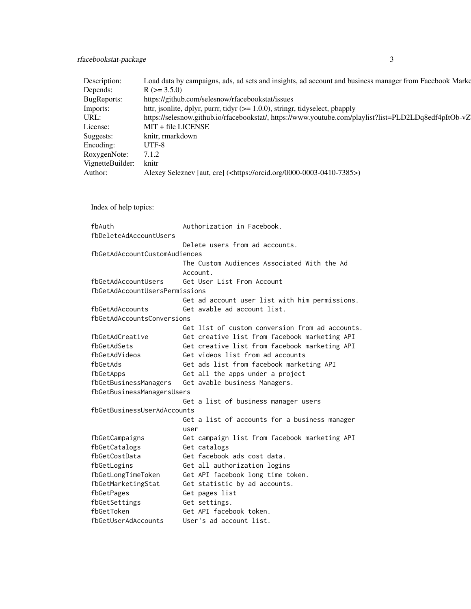# rfacebookstat-package 3

| Description:           | Load data by campaigns, ads, ad sets and insights, ad account and business manager from Facebook Marke |
|------------------------|--------------------------------------------------------------------------------------------------------|
| Depends:               | $R$ ( $> = 3.5.0$ )                                                                                    |
| BugReports:            | https://github.com/selesnow/rfacebookstat/issues                                                       |
| Imports:               | httr, jsonlite, dplyr, purrr, tidyr $(>= 1.0.0)$ , stringr, tidyselect, pbapply                        |
| URL:                   | https://selesnow.github.io/rfacebookstat/, https://www.youtube.com/playlist?list=PLD2LDq8edf4pItOb-vZ  |
| License:               | MIT + file LICENSE                                                                                     |
| Suggests:              | knitr, rmarkdown                                                                                       |
| Encoding:              | UTF-8                                                                                                  |
| RoxygenNote:           | 7.1.2                                                                                                  |
| VignetteBuilder: knitr |                                                                                                        |
| Author:                | Alexey Seleznev [aut, cre] ( <https: 0000-0003-0410-7385="" orcid.org="">)</https:>                    |
|                        |                                                                                                        |

Index of help topics:

| fbAuth                         | Authorization in Facebook.                      |
|--------------------------------|-------------------------------------------------|
| fbDeleteAdAccountUsers         |                                                 |
|                                | Delete users from ad accounts.                  |
| fbGetAdAccountCustomAudiences  |                                                 |
|                                | The Custom Audiences Associated With the Ad     |
|                                | Account.                                        |
| fbGetAdAccountUsers            | Get User List From Account                      |
| fbGetAdAccountUsersPermissions |                                                 |
|                                | Get ad account user list with him permissions.  |
| fbGetAdAccounts                | Get avable ad account list.                     |
| fbGetAdAccountsConversions     |                                                 |
|                                | Get list of custom conversion from ad accounts. |
| fbGetAdCreative                | Get creative list from facebook marketing API   |
| fbGetAdSets                    | Get creative list from facebook marketing API   |
| fbGetAdVideos                  | Get videos list from ad accounts                |
| fbGetAds                       | Get ads list from facebook marketing API        |
| fbGetApps                      | Get all the apps under a project                |
| fbGetBusinessManagers          | Get avable business Managers.                   |
| fbGetBusinessManagersUsers     |                                                 |
|                                | Get a list of business manager users            |
| fbGetBusinessUserAdAccounts    |                                                 |
|                                | Get a list of accounts for a business manager   |
|                                | user                                            |
| fbGetCampaigns                 | Get campaign list from facebook marketing API   |
| fbGetCatalogs                  | Get catalogs                                    |
| fbGetCostData                  | Get facebook ads cost data.                     |
| fbGetLogins                    | Get all authorization logins                    |
| fbGetLongTimeToken             | Get API facebook long time token.               |
| fbGetMarketingStat             | Get statistic by ad accounts.                   |
| fbGetPages                     | Get pages list                                  |
| fbGetSettings                  | Get settings.                                   |
| fbGetToken                     | Get API facebook token.                         |
| fbGetUserAdAccounts            | User's ad account list.                         |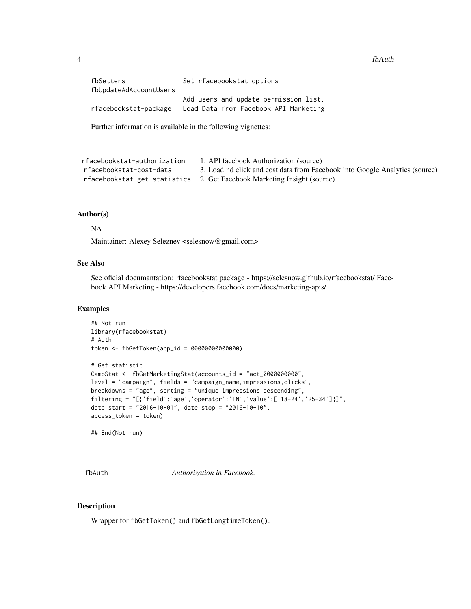<span id="page-3-0"></span>

| fbSetters              | Set rfacebookstat options             |
|------------------------|---------------------------------------|
| fbUpdateAdAccountUsers |                                       |
|                        | Add users and update permission list. |
| rfacebookstat-package  | Load Data from Facebook API Marketing |

Further information is available in the following vignettes:

```
rfacebookstat-authorization 1. API facebook Authorization (source)
rfacebookstat-cost-data 3. Loadind click and cost data from Facebook into Google Analytics (source)
rfacebookstat-get-statistics 2. Get Facebook Marketing Insight (source)
```
#### Author(s)

#### NA

Maintainer: Alexey Seleznev <selesnow@gmail.com>

# See Also

See oficial documantation: rfacebookstat package - https://selesnow.github.io/rfacebookstat/ Facebook API Marketing - https://developers.facebook.com/docs/marketing-apis/

# Examples

```
## Not run:
library(rfacebookstat)
# Auth
token <- fbGetToken(app_id = 00000000000000)
# Get statistic
CampStat <- fbGetMarketingStat(accounts_id = "act_0000000000",
level = "campaign", fields = "campaign_name,impressions,clicks",
breakdowns = "age", sorting = "unique_impressions_descending",
filtering = "[{'field':'age','operator':'IN','value':['18-24','25-34']}]",
date_start = "2016-10-01", date_stop = "2016-10-10",
access_token = token)
```
## End(Not run)

fbAuth *Authorization in Facebook.*

## Description

Wrapper for fbGetToken() and fbGetLongtimeToken().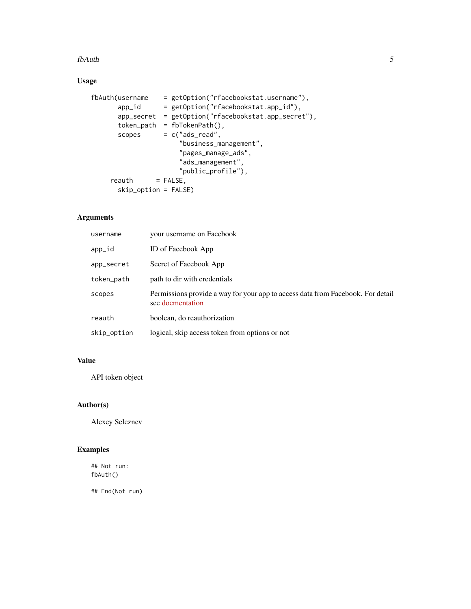#### fbAuth 5

# Usage

```
fbAuth(username = getOption("rfacebookstat.username"),
      app_id = getOption("rfacebookstat.app_id"),
      app_secret = getOption("rfacebookstat.app_secret"),
      token_path = fbTokenPath(),
      scopes = c("ads\_read","business_management",
                      "pages_manage_ads",
                      "ads_management",
                     "public_profile"),
    reakh = FALSE,
      skip_option = FALSE)
```
# Arguments

| username    | your username on Facebook                                                                           |
|-------------|-----------------------------------------------------------------------------------------------------|
| app_id      | <b>ID</b> of Facebook App                                                                           |
| app_secret  | Secret of Facebook App                                                                              |
| token_path  | path to dir with credentials                                                                        |
| scopes      | Permissions provide a way for your app to access data from Facebook. For detail<br>see docmentation |
| reauth      | boolean, do reauthorization                                                                         |
| skip_option | logical, skip access token from options or not                                                      |

# Value

API token object

# Author(s)

Alexey Seleznev

# Examples

## Not run: fbAuth()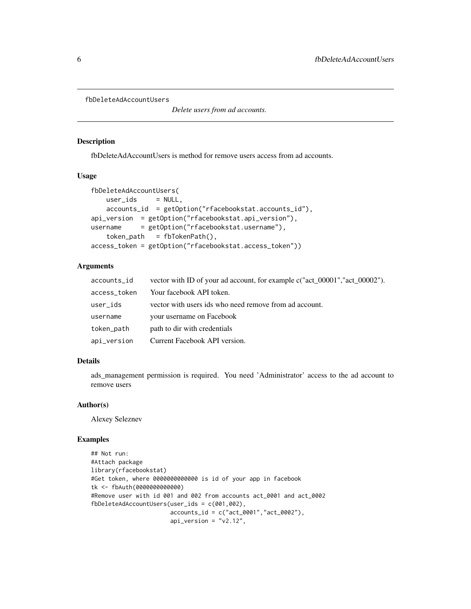```
fbDeleteAdAccountUsers
```
*Delete users from ad accounts.*

#### Description

fbDeleteAdAccountUsers is method for remove users access from ad accounts.

### Usage

```
fbDeleteAdAccountUsers(
   user\_ids = NULL,
   accounts_id = getOption("rfacebookstat.accounts_id"),
api_version = getOption("rfacebookstat.api_version"),
username = getOption("rfacebookstat.username"),
   token_path = fbTokenPath(),
access_token = getOption("rfacebookstat.access_token"))
```
# Arguments

| accounts_id  | vector with ID of your ad account, for example c("act_00001","act_00002"). |
|--------------|----------------------------------------------------------------------------|
| access_token | Your facebook API token.                                                   |
| user_ids     | vector with users ids who need remove from ad account.                     |
| username     | your username on Facebook                                                  |
| token_path   | path to dir with credentials                                               |
| api_version  | Current Facebook API version.                                              |

# Details

ads\_management permission is required. You need 'Administrator' access to the ad account to remove users

#### Author(s)

Alexey Seleznev

#### Examples

```
## Not run:
#Attach package
library(rfacebookstat)
#Get token, where 0000000000000 is id of your app in facebook
tk <- fbAuth(0000000000000)
#Remove user with id 001 and 002 from accounts act_0001 and act_0002
fbDeleteAdAccountUsers(user_ids = c(001,002),
                       accounts_id = c("act_0001", "act_0002"),
                       api\_version = "v2.12",
```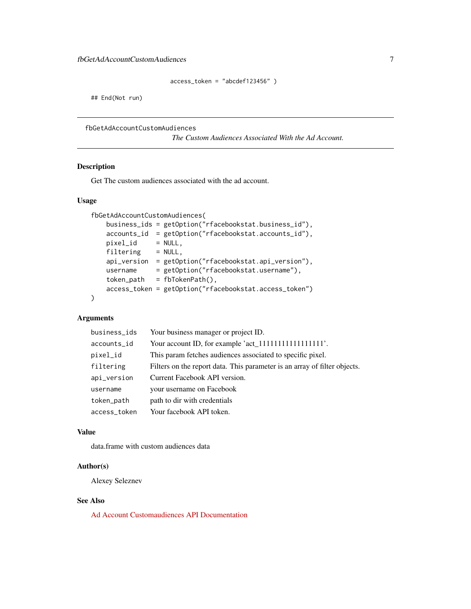```
access_token = "abcdef123456" )
```
<span id="page-6-0"></span>## End(Not run)

```
fbGetAdAccountCustomAudiences
```
*The Custom Audiences Associated With the Ad Account.*

# Description

Get The custom audiences associated with the ad account.

#### Usage

```
fbGetAdAccountCustomAudiences(
   business_ids = getOption("rfacebookstat.business_id"),
   accounts_id = getOption("rfacebookstat.accounts_id"),
   pixel_id = NULL,
   filtering = NULL,
   api_version = getOption("rfacebookstat.api_version"),
   username = getOption("rfacebookstat.username"),
   token\_path = fibTokenPath(),
   access_token = getOption("rfacebookstat.access_token")
\lambda
```
# Arguments

| business_ids | Your business manager or project ID.                                      |
|--------------|---------------------------------------------------------------------------|
| accounts_id  |                                                                           |
| pixel_id     | This param fetches audiences associated to specific pixel.                |
| filtering    | Filters on the report data. This parameter is an array of filter objects. |
| api_version  | Current Facebook API version.                                             |
| username     | your username on Facebook                                                 |
| token_path   | path to dir with credentials                                              |
| access_token | Your facebook API token.                                                  |

## Value

data.frame with custom audiences data

#### Author(s)

Alexey Seleznev

# See Also

[Ad Account Customaudiences API Documentation](https://developers.facebook.com/docs/marketing-api/reference/ad-account/customaudiences/)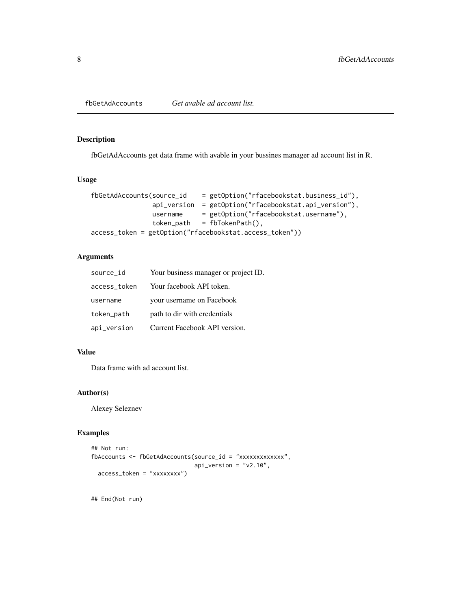<span id="page-7-0"></span>

# Description

fbGetAdAccounts get data frame with avable in your bussines manager ad account list in R.

#### Usage

```
fbGetAdAccounts(source_id = getOption("rfacebookstat.business_id"),
               api_version = getOption("rfacebookstat.api_version"),
               username = getOption("rfacebookstat.username"),
               token\_path = fibTokenPath(),
access_token = getOption("rfacebookstat.access_token"))
```
#### Arguments

| source_id    | Your business manager or project ID. |
|--------------|--------------------------------------|
| access_token | Your facebook API token.             |
| username     | your username on Facebook            |
| token_path   | path to dir with credentials         |
| api_version  | Current Facebook API version.        |

# Value

Data frame with ad account list.

# Author(s)

Alexey Seleznev

#### Examples

```
## Not run:
fbAccounts <- fbGetAdAccounts(source_id = "xxxxxxxxxxxxx",
                              api\_version = "v2.10",access_token = "xxxxxxxx")
```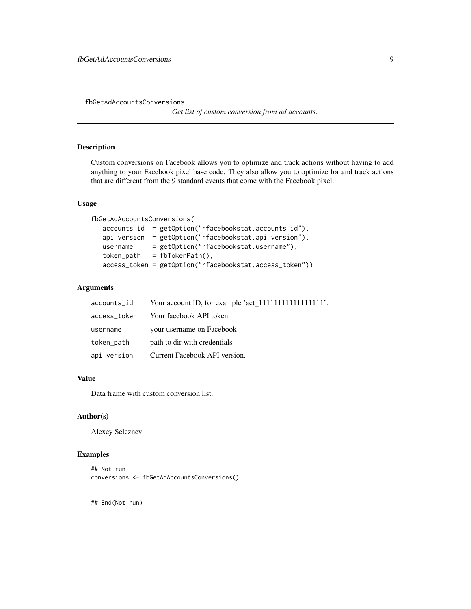<span id="page-8-0"></span>fbGetAdAccountsConversions

*Get list of custom conversion from ad accounts.*

# Description

Custom conversions on Facebook allows you to optimize and track actions without having to add anything to your Facebook pixel base code. They also allow you to optimize for and track actions that are different from the 9 standard events that come with the Facebook pixel.

# Usage

```
fbGetAdAccountsConversions(
  accounts_id = getOption("rfacebookstat.accounts_id"),
  api_version = getOption("rfacebookstat.api_version"),
  username = getOption("rfacebookstat.username"),
  token_path = fbTokenPath(),
  access_token = getOption("rfacebookstat.access_token"))
```
# Arguments

| accounts_id  |                               |
|--------------|-------------------------------|
| access_token | Your facebook API token.      |
| username     | your username on Facebook     |
| token_path   | path to dir with credentials  |
| api_version  | Current Facebook API version. |

# Value

Data frame with custom conversion list.

#### Author(s)

Alexey Seleznev

#### Examples

```
## Not run:
conversions <- fbGetAdAccountsConversions()
```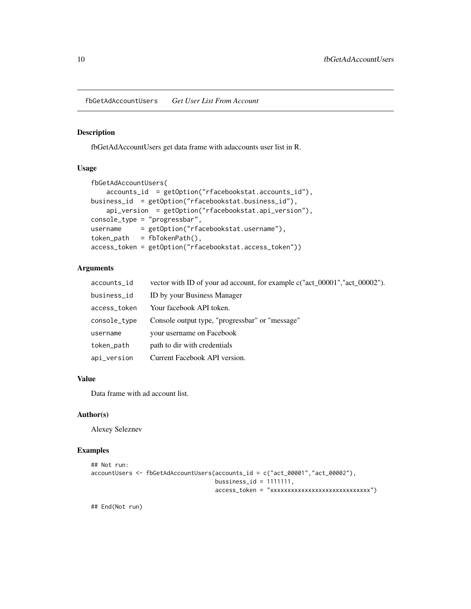<span id="page-9-0"></span>fbGetAdAccountUsers *Get User List From Account*

# Description

fbGetAdAccountUsers get data frame with adaccounts user list in R.

#### Usage

```
fbGetAdAccountUsers(
    accounts_id = getOption("rfacebookstat.accounts_id"),
business_id = getOption("rfacebookstat.business_id"),
    api_version = getOption("rfacebookstat.api_version"),
console_type = "progressbar",
username = getOption("rfacebookstat.username"),
token_path = fbTokenPath(),
access_token = getOption("rfacebookstat.access_token"))
```
## Arguments

| accounts_id  | vector with ID of your ad account, for example c("act_00001","act_00002"). |
|--------------|----------------------------------------------------------------------------|
| business_id  | ID by your Business Manager                                                |
| access_token | Your facebook API token.                                                   |
| console_type | Console output type, "progressbar" or "message"                            |
| username     | your username on Facebook                                                  |
| token_path   | path to dir with credentials                                               |
| api_version  | Current Facebook API version.                                              |

#### Value

Data frame with ad account list.

# Author(s)

Alexey Seleznev

#### Examples

```
## Not run:
accountUsers <- fbGetAdAccountUsers(accounts_id = c("act_00001","act_00002"),
                                    bussiness_id = 1111111,
                                    access_token = "xxxxxxxxxxxxxxxxxxxxxxxxxxxxx")
```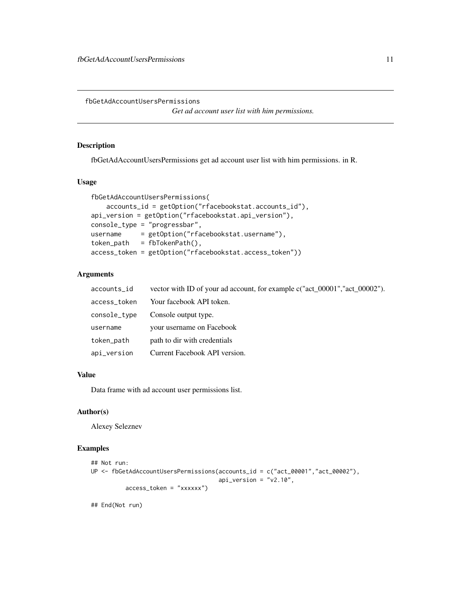<span id="page-10-0"></span>fbGetAdAccountUsersPermissions

*Get ad account user list with him permissions.*

# Description

fbGetAdAccountUsersPermissions get ad account user list with him permissions. in R.

# Usage

```
fbGetAdAccountUsersPermissions(
    accounts_id = getOption("rfacebookstat.accounts_id"),
api_version = getOption("rfacebookstat.api_version"),
console_type = "progressbar",
username = getOption("rfacebookstat.username"),
token\_path = fibTokenPath(),
access_token = getOption("rfacebookstat.access_token"))
```
# Arguments

| accounts_id  | vector with ID of your ad account, for example $c("act_00001", "act_00002").$ |
|--------------|-------------------------------------------------------------------------------|
| access_token | Your facebook API token.                                                      |
| console_type | Console output type.                                                          |
| username     | your username on Facebook                                                     |
| token_path   | path to dir with credentials                                                  |
| api_version  | Current Facebook API version.                                                 |

# Value

Data frame with ad account user permissions list.

#### Author(s)

Alexey Seleznev

# Examples

```
## Not run:
UP <- fbGetAdAccountUsersPermissions(accounts_id = c("act_00001","act_00002"),
                                     api_version = "v2.10",
          access_token = "xxxxxx")
```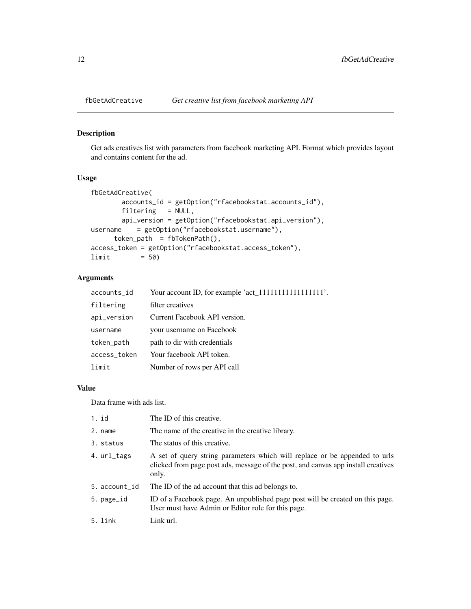<span id="page-11-0"></span>

# Description

Get ads creatives list with parameters from facebook marketing API. Format which provides layout and contains content for the ad.

# Usage

```
fbGetAdCreative(
       accounts_id = getOption("rfacebookstat.accounts_id"),
       filtering = NULL,
       api_version = getOption("rfacebookstat.api_version"),
username = getOption("rfacebookstat.username"),
     token_path = fbTokenPath(),
access_token = getOption("rfacebookstat.access_token"),
limit = 50)
```
#### Arguments

| accounts_id  | Your account ID, for example 'act_1111111111111111111111. |
|--------------|-----------------------------------------------------------|
| filtering    | filter creatives                                          |
| api_version  | Current Facebook API version.                             |
| username     | your username on Facebook                                 |
| token_path   | path to dir with credentials                              |
| access_token | Your facebook API token.                                  |
| limit        | Number of rows per API call                               |

#### Value

Data frame with ads list.

| 1. id         | The ID of this creative.                                                                                                                                                 |
|---------------|--------------------------------------------------------------------------------------------------------------------------------------------------------------------------|
| 2. name       | The name of the creative in the creative library.                                                                                                                        |
| 3. status     | The status of this creative.                                                                                                                                             |
| 4. url_tags   | A set of query string parameters which will replace or be appended to urls<br>clicked from page post ads, message of the post, and canvas app install creatives<br>only. |
| 5. account_id | The ID of the ad account that this ad belongs to.                                                                                                                        |
| 5. page_id    | ID of a Facebook page. An unpublished page post will be created on this page.<br>User must have Admin or Editor role for this page.                                      |
| 5. link       | Link url.                                                                                                                                                                |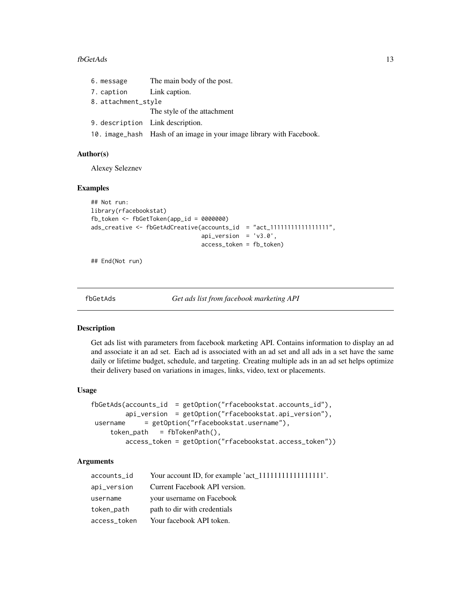#### <span id="page-12-0"></span> $fbcetAds$  13

| 6. message               | The main body of the post.                                           |  |
|--------------------------|----------------------------------------------------------------------|--|
| 7. caption Link caption. |                                                                      |  |
| 8. attachment_style      |                                                                      |  |
|                          | The style of the attachment                                          |  |
|                          | 9. description Link description.                                     |  |
|                          | 10. image_hash Hash of an image in your image library with Facebook. |  |

#### Author(s)

Alexey Seleznev

#### Examples

```
## Not run:
library(rfacebookstat)
fb_token <- fbGetToken(app_id = 0000000)
ads_creative <- fbGetAdCreative(accounts_id = "act_1111111111111111111",
                                api_version = 'v3.0',
                                access_token = fb_token)
```
## End(Not run)

fbGetAds *Get ads list from facebook marketing API*

#### Description

Get ads list with parameters from facebook marketing API. Contains information to display an ad and associate it an ad set. Each ad is associated with an ad set and all ads in a set have the same daily or lifetime budget, schedule, and targeting. Creating multiple ads in an ad set helps optimize their delivery based on variations in images, links, video, text or placements.

#### Usage

```
fbGetAds(accounts_id = getOption("rfacebookstat.accounts_id"),
        api_version = getOption("rfacebookstat.api_version"),
username = getOption("rfacebookstat.username"),
    token\_path = fibTokenPath(),
        access_token = getOption("rfacebookstat.access_token"))
```
# Arguments

| accounts_id  |                               |
|--------------|-------------------------------|
| api_version  | Current Facebook API version. |
| username     | your username on Facebook     |
| token_path   | path to dir with credentials  |
| access_token | Your facebook API token.      |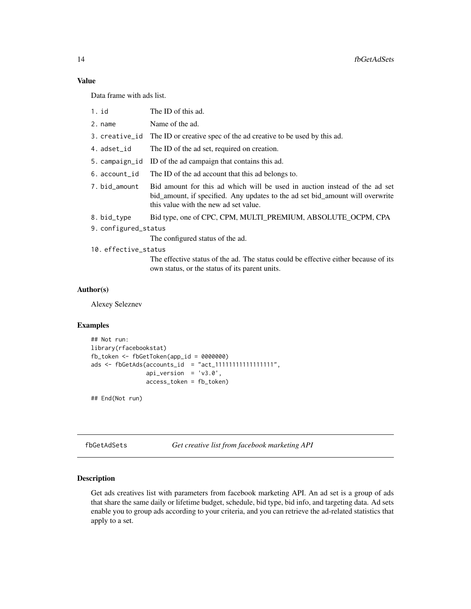# Value

Data frame with ads list.

- 1. id The ID of this ad.
- 2. name Name of the ad.
- 3. creative\_id The ID or creative spec of the ad creative to be used by this ad.
- 4. adset\_id The ID of the ad set, required on creation.
- 5. campaign\_id ID of the ad campaign that contains this ad.
- 6. account\_id The ID of the ad account that this ad belongs to.
- 7. bid\_amount Bid amount for this ad which will be used in auction instead of the ad set bid\_amount, if specified. Any updates to the ad set bid\_amount will overwrite this value with the new ad set value.
- 8. bid\_type Bid type, one of CPC, CPM, MULTI\_PREMIUM, ABSOLUTE\_OCPM, CPA
- 9. configured\_status

The configured status of the ad.

10. effective\_status

The effective status of the ad. The status could be effective either because of its own status, or the status of its parent units.

#### Author(s)

Alexey Seleznev

#### Examples

```
## Not run:
library(rfacebookstat)
fb_token <- fbGetToken(app_id = 0000000)
ads \le fbGetAds(accounts_id = "act_111111111111111111",
                api\_version = 'v3.0',access_token = fb_token)
```
## End(Not run)

fbGetAdSets *Get creative list from facebook marketing API*

#### Description

Get ads creatives list with parameters from facebook marketing API. An ad set is a group of ads that share the same daily or lifetime budget, schedule, bid type, bid info, and targeting data. Ad sets enable you to group ads according to your criteria, and you can retrieve the ad-related statistics that apply to a set.

<span id="page-13-0"></span>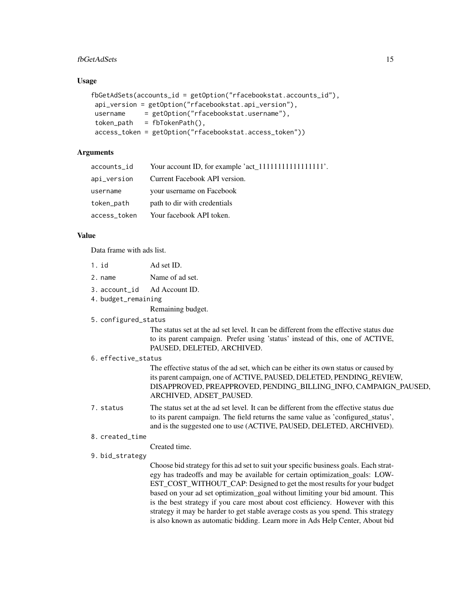#### fbGetAdSets 15

#### Usage

```
fbGetAdSets(accounts_id = getOption("rfacebookstat.accounts_id"),
api_version = getOption("rfacebookstat.api_version"),
username = getOption("rfacebookstat.username"),
token_path = fbTokenPath(),
access_token = getOption("rfacebookstat.access_token"))
```
# Arguments

| accounts_id  |                               |
|--------------|-------------------------------|
| api_version  | Current Facebook API version. |
| username     | your username on Facebook     |
| token_path   | path to dir with credentials  |
| access_token | Your facebook API token.      |
|              |                               |

#### Value

Data frame with ads list.

- 1. id Ad set ID.
- 2. name Name of ad set.
- 3. account\_id Ad Account ID.
- 4. budget\_remaining

Remaining budget.

#### 5. configured\_status

The status set at the ad set level. It can be different from the effective status due to its parent campaign. Prefer using 'status' instead of this, one of ACTIVE, PAUSED, DELETED, ARCHIVED.

#### 6. effective\_status

The effective status of the ad set, which can be either its own status or caused by its parent campaign, one of ACTIVE, PAUSED, DELETED, PENDING\_REVIEW, DISAPPROVED, PREAPPROVED, PENDING\_BILLING\_INFO, CAMPAIGN\_PAUSED, ARCHIVED, ADSET\_PAUSED.

7. status The status set at the ad set level. It can be different from the effective status due to its parent campaign. The field returns the same value as 'configured\_status', and is the suggested one to use (ACTIVE, PAUSED, DELETED, ARCHIVED).

#### 8. created\_time

Created time.

9. bid\_strategy

Choose bid strategy for this ad set to suit your specific business goals. Each strategy has tradeoffs and may be available for certain optimization\_goals: LOW-EST\_COST\_WITHOUT\_CAP: Designed to get the most results for your budget based on your ad set optimization\_goal without limiting your bid amount. This is the best strategy if you care most about cost efficiency. However with this strategy it may be harder to get stable average costs as you spend. This strategy is also known as automatic bidding. Learn more in Ads Help Center, About bid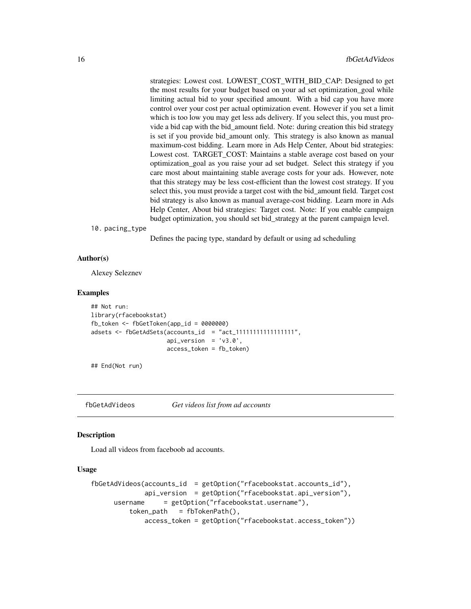<span id="page-15-0"></span>strategies: Lowest cost. LOWEST\_COST\_WITH\_BID\_CAP: Designed to get the most results for your budget based on your ad set optimization\_goal while limiting actual bid to your specified amount. With a bid cap you have more control over your cost per actual optimization event. However if you set a limit which is too low you may get less ads delivery. If you select this, you must provide a bid cap with the bid\_amount field. Note: during creation this bid strategy is set if you provide bid\_amount only. This strategy is also known as manual maximum-cost bidding. Learn more in Ads Help Center, About bid strategies: Lowest cost. TARGET\_COST: Maintains a stable average cost based on your optimization\_goal as you raise your ad set budget. Select this strategy if you care most about maintaining stable average costs for your ads. However, note that this strategy may be less cost-efficient than the lowest cost strategy. If you select this, you must provide a target cost with the bid\_amount field. Target cost bid strategy is also known as manual average-cost bidding. Learn more in Ads Help Center, About bid strategies: Target cost. Note: If you enable campaign budget optimization, you should set bid\_strategy at the parent campaign level.

10. pacing\_type

Defines the pacing type, standard by default or using ad scheduling

#### Author(s)

Alexey Seleznev

#### Examples

```
## Not run:
library(rfacebookstat)
fb_token <- fbGetToken(app_id = 0000000)
adsets <- fbGetAdSets(accounts_id = "act_11111111111111111",
                      api_version = 'v3.0',
                      access_token = fb_token)
```
## End(Not run)

fbGetAdVideos *Get videos list from ad accounts*

# **Description**

Load all videos from faceboob ad accounts.

#### Usage

```
fbGetAdVideos(accounts_id = getOption("rfacebookstat.accounts_id"),
              api_version = getOption("rfacebookstat.api_version"),
     username = getOption("rfacebookstat.username"),
          token<sub>path</sub> = fbTokenPath(),
              access_token = getOption("rfacebookstat.access_token"))
```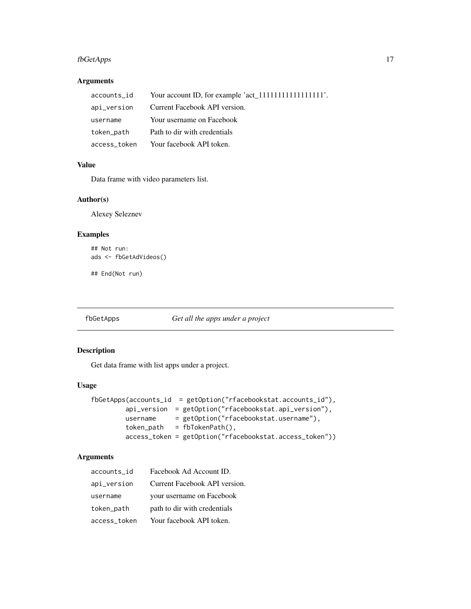# <span id="page-16-0"></span>fbGetApps 17

# Arguments

| accounts_id  |                               |
|--------------|-------------------------------|
| api_version  | Current Facebook API version. |
| username     | Your username on Facebook     |
| token_path   | Path to dir with credentials  |
| access_token | Your facebook API token.      |

# Value

Data frame with video parameters list.

# Author(s)

Alexey Seleznev

# Examples

## Not run: ads <- fbGetAdVideos()

## End(Not run)

fbGetApps *Get all the apps under a project*

# Description

Get data frame with list apps under a project.

# Usage

```
fbGetApps(accounts_id = getOption("rfacebookstat.accounts_id"),
        api_version = getOption("rfacebookstat.api_version"),
        username = getOption("rfacebookstat.username"),
        token_path = fbTokenPath(),
        access_token = getOption("rfacebookstat.access_token"))
```
# Arguments

| accounts id  | Facebook Ad Account ID.       |
|--------------|-------------------------------|
| api_version  | Current Facebook API version. |
| username     | your username on Facebook     |
| token_path   | path to dir with credentials  |
| access_token | Your facebook API token.      |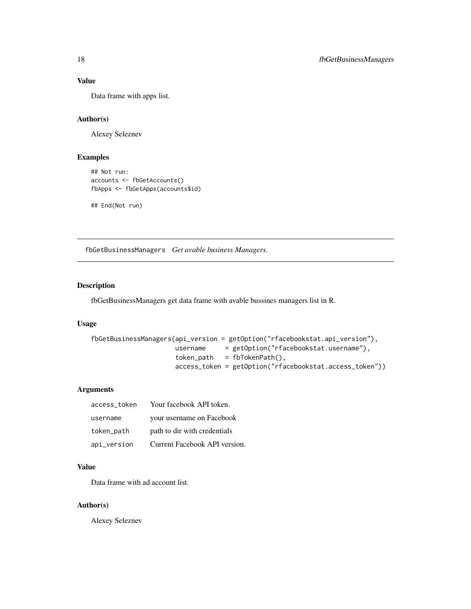# Value

Data frame with apps list.

# Author(s)

Alexey Seleznev

# Examples

```
## Not run:
accounts <- fbGetAccounts()
fbApps <- fbGetApps(accounts$id)
```
## End(Not run)

fbGetBusinessManagers *Get avable business Managers.*

# Description

fbGetBusinessManagers get data frame with avable bussines managers list in R.

### Usage

```
fbGetBusinessManagers(api_version = getOption("rfacebookstat.api_version"),
                     username = getOption("rfacebookstat.username"),
                     token\_path = fibTokenPath(),
                     access_token = getOption("rfacebookstat.access_token"))
```
# Arguments

| access token | Your facebook API token.      |
|--------------|-------------------------------|
| username     | your username on Facebook     |
| token_path   | path to dir with credentials  |
| api_version  | Current Facebook API version. |

### Value

Data frame with ad account list.

#### Author(s)

<span id="page-17-0"></span>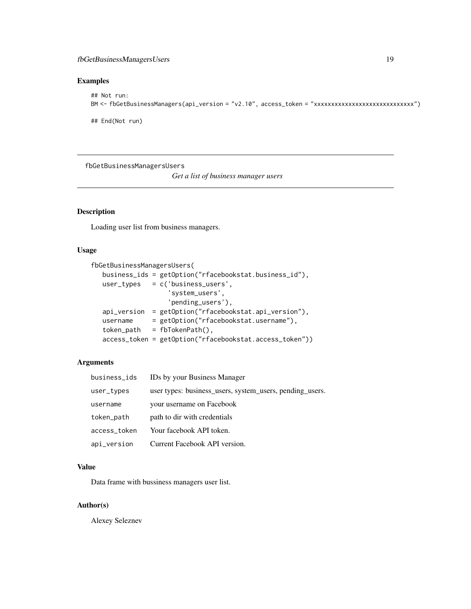# <span id="page-18-0"></span>Examples

```
## Not run:
BM <- fbGetBusinessManagers(api_version = "v2.10", access_token = "xxxxxxxxxxxxxxxxxxxxxxxxxxxxx")
```
## End(Not run)

fbGetBusinessManagersUsers

*Get a list of business manager users*

# Description

Loading user list from business managers.

# Usage

```
fbGetBusinessManagersUsers(
  business_ids = getOption("rfacebookstat.business_id"),
  user_types = c('business_users',
                   'system_users',
                   'pending_users'),
  api_version = getOption("rfacebookstat.api_version"),
  username = getOption("rfacebookstat.username"),
  token_path = fbTokenPath(),
  access_token = getOption("rfacebookstat.access_token"))
```
# Arguments

| business_ids | IDs by your Business Manager                             |
|--------------|----------------------------------------------------------|
| user_types   | user types: business_users, system_users, pending_users. |
| username     | your username on Facebook                                |
| token_path   | path to dir with credentials                             |
| access_token | Your facebook API token.                                 |
| api_version  | Current Facebook API version.                            |

#### Value

Data frame with bussiness managers user list.

#### Author(s)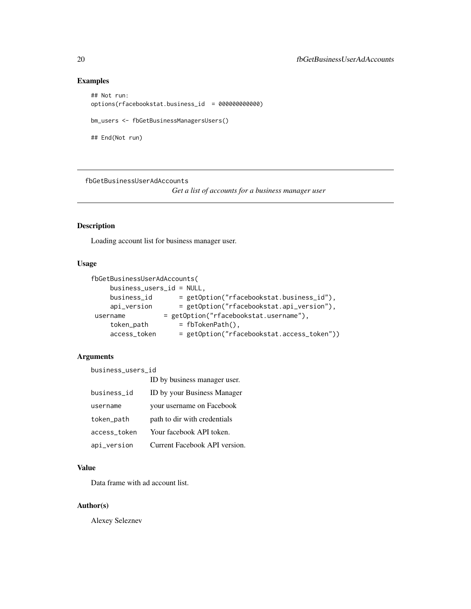# Examples

```
## Not run:
options(rfacebookstat.business_id = 000000000000)
bm_users <- fbGetBusinessManagersUsers()
## End(Not run)
```
fbGetBusinessUserAdAccounts

*Get a list of accounts for a business manager user*

# Description

Loading account list for business manager user.

## Usage

```
fbGetBusinessUserAdAccounts(
     business_users_id = NULL,
    business_id = getOption("rfacebookstat.business_id"),
     api_version = getOption("rfacebookstat.api_version"),
username = getOption("rfacebookstat.username"),<br>token_path = fbTokenPath(),
                      = fbTokenPath(),
     access_token = getOption("rfacebookstat.access_token"))
```
#### Arguments

business\_users\_id ID by business manager user. business\_id ID by your Business Manager username your username on Facebook token\_path path to dir with credentials access\_token Your facebook API token. api\_version Current Facebook API version.

# Value

Data frame with ad account list.

## Author(s)

<span id="page-19-0"></span>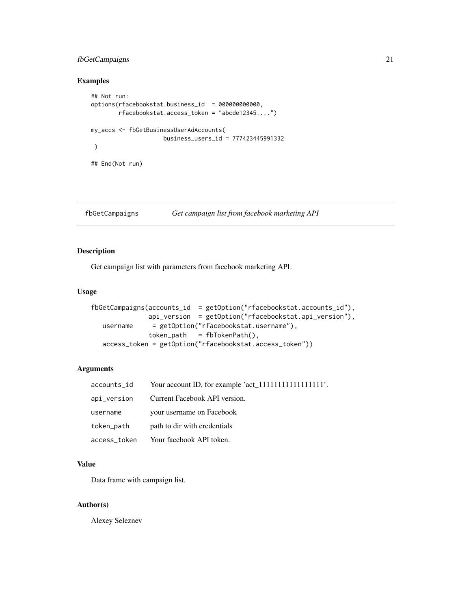# <span id="page-20-0"></span>fbGetCampaigns 21

# Examples

```
## Not run:
options(rfacebookstat.business_id = 000000000000,
       rfacebookstat.access_token = "abcde12345....")
my_accs <- fbGetBusinessUserAdAccounts(
                    business_users_id = 777423445991332
)
## End(Not run)
```
fbGetCampaigns *Get campaign list from facebook marketing API*

# Description

Get campaign list with parameters from facebook marketing API.

# Usage

```
fbGetCampaigns(accounts_id = getOption("rfacebookstat.accounts_id"),
               api_version = getOption("rfacebookstat.api_version"),
  username = getOption("rfacebookstat.username"),
               token<sub>path</sub> = fbTokenPath(),
  access_token = getOption("rfacebookstat.access_token"))
```
#### Arguments

| accounts_id  |                               |
|--------------|-------------------------------|
| api_version  | Current Facebook API version. |
| username     | your username on Facebook     |
| token_path   | path to dir with credentials  |
| access_token | Your facebook API token.      |

#### Value

Data frame with campaign list.

#### Author(s)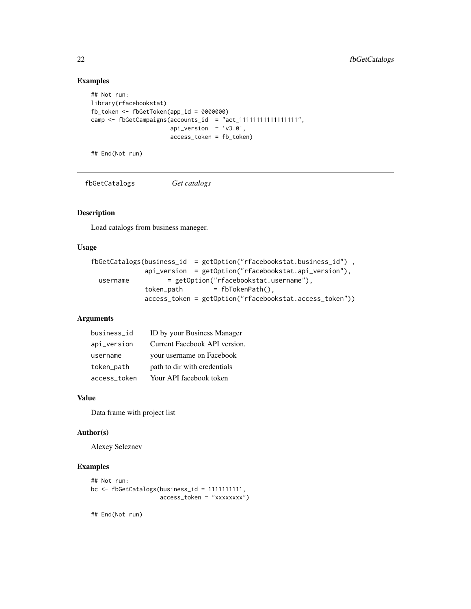# Examples

```
## Not run:
library(rfacebookstat)
fb_token <- fbGetToken(app_id = 0000000)
camp <- fbGetCampaigns(accounts_id = "act_11111111111111111",
                      api\_version = 'v3.0',access_token = fb_token)
```
## End(Not run)

fbGetCatalogs *Get catalogs*

#### Description

Load catalogs from business maneger.

#### Usage

```
fbGetCatalogs(business_id = getOption("rfacebookstat.business_id") ,
             api_version = getOption("rfacebookstat.api_version"),
 username = getOption("rfacebookstat.username"),
             token\_path = fbTokenPath(),
             access_token = getOption("rfacebookstat.access_token"))
```
# Arguments

| business_id  | ID by your Business Manager   |
|--------------|-------------------------------|
| api_version  | Current Facebook API version. |
| username     | your username on Facebook     |
| token_path   | path to dir with credentials  |
| access token | Your API facebook token       |

# Value

Data frame with project list

#### Author(s)

Alexey Seleznev

#### Examples

```
## Not run:
bc <- fbGetCatalogs(business_id = 1111111111,
                    access_token = "xxxxxxxx")
```
<span id="page-21-0"></span>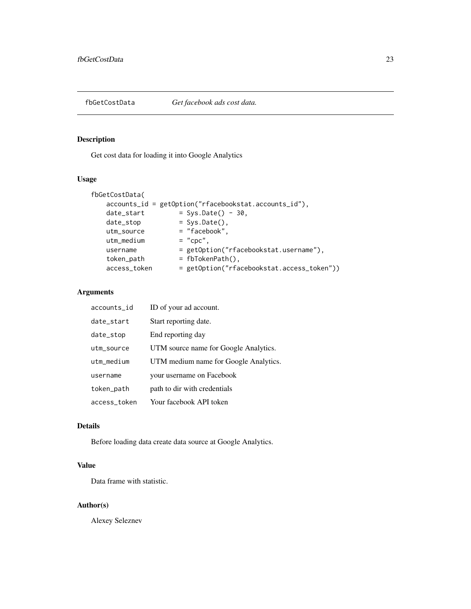<span id="page-22-0"></span>

# Description

Get cost data for loading it into Google Analytics

# Usage

```
fbGetCostData(
    accounts_id = getOption("rfacebookstat.accounts_id"),
    date\_start = Sys.Date() - 30,
    date_stop = Sys.Date(),
    utm_source = "facebook",
    utm\_medium = "cpc",
                     = getOption("rfacebookstat.username"),
   = getOption("rfa<br>token_path = fbTokenPath(),<br>access_token = getOntier(")
                      = getOption("rfacebookstat.access_token"))
```
# Arguments

| accounts_id  | ID of your ad account.                |
|--------------|---------------------------------------|
| date_start   | Start reporting date.                 |
| date_stop    | End reporting day                     |
| utm_source   | UTM source name for Google Analytics. |
| utm_medium   | UTM medium name for Google Analytics. |
| username     | your username on Facebook             |
| token_path   | path to dir with credentials          |
| access_token | Your facebook API token               |

#### Details

Before loading data create data source at Google Analytics.

# Value

Data frame with statistic.

#### Author(s)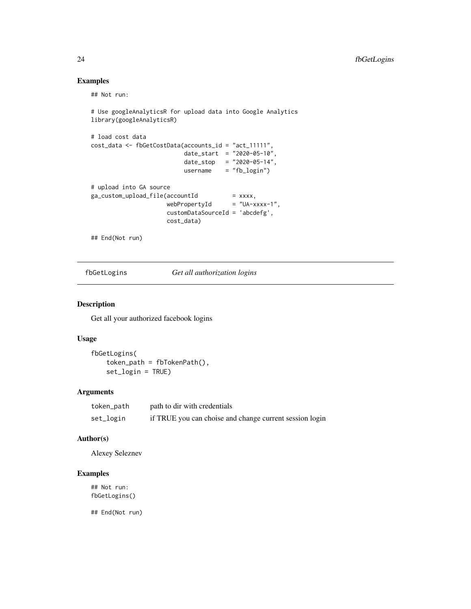# Examples

## Not run:

```
# Use googleAnalyticsR for upload data into Google Analytics
library(googleAnalyticsR)
# load cost data
cost_data <- fbGetCostData(accounts_id = "act_11111",
                           date\_start = "2020-05-10",date_stop = "2020-05-14",
                            username = "fb_login")
# upload into GA source
ga_custom_upload_file(accountId
                      (accountId = xxxx,<br>webPropertyId = "UA-xxxx-1",
                      customDataSourceId = 'abcdefg',
                      cost_data)
```
## End(Not run)

fbGetLogins *Get all authorization logins*

# Description

Get all your authorized facebook logins

#### Usage

```
fbGetLogins(
    token_path = fbTokenPath(),
    set_login = TRUE)
```
## Arguments

| token_path | path to dir with credentials                            |
|------------|---------------------------------------------------------|
| set_login  | if TRUE you can choise and change current session login |

## Author(s)

Alexey Seleznev

# Examples

## Not run: fbGetLogins()

<span id="page-23-0"></span>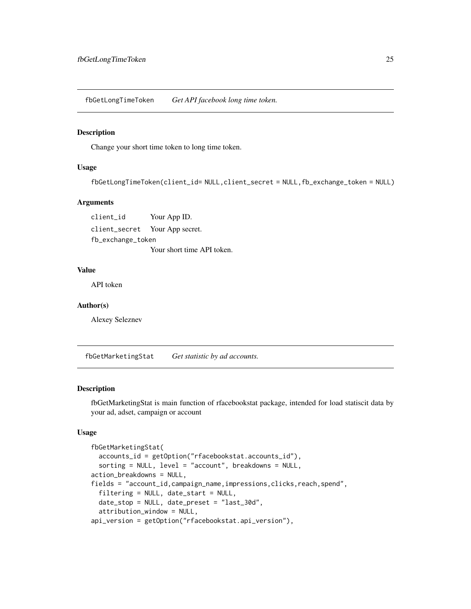<span id="page-24-0"></span>fbGetLongTimeToken *Get API facebook long time token.*

#### Description

Change your short time token to long time token.

# Usage

```
fbGetLongTimeToken(client_id= NULL,client_secret = NULL,fb_exchange_token = NULL)
```
# Arguments

client\_id Your App ID. client\_secret Your App secret. fb\_exchange\_token Your short time API token.

## Value

API token

#### Author(s)

Alexey Seleznev

fbGetMarketingStat *Get statistic by ad accounts.*

#### Description

fbGetMarketingStat is main function of rfacebookstat package, intended for load statiscit data by your ad, adset, campaign or account

#### Usage

```
fbGetMarketingStat(
  accounts_id = getOption("rfacebookstat.accounts_id"),
  sorting = NULL, level = "account", breakdowns = NULL,
action_breakdowns = NULL,
fields = "account_id,campaign_name,impressions,clicks,reach,spend",
  filtering = NULL, date_start = NULL,
  date_stop = NULL, date_preset = "last_30d",
  attribution_window = NULL,
api_version = getOption("rfacebookstat.api_version"),
```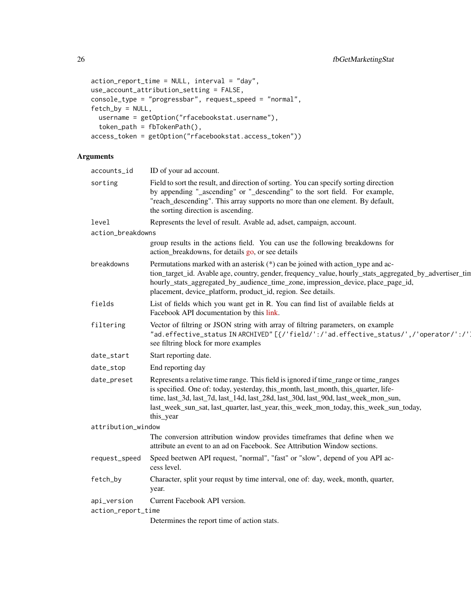```
action_report_time = NULL, interval = "day",
use_account_attribution_setting = FALSE,
console_type = "progressbar", request_speed = "normal",
fetch_by = NULL,
  username = getOption("rfacebookstat.username"),
  token_path = fbTokenPath(),
access_token = getOption("rfacebookstat.access_token"))
```
# Arguments

| accounts_id        | ID of your ad account.                                                                                                                                                                                                                                                                                                                                                  |
|--------------------|-------------------------------------------------------------------------------------------------------------------------------------------------------------------------------------------------------------------------------------------------------------------------------------------------------------------------------------------------------------------------|
| sorting            | Field to sort the result, and direction of sorting. You can specify sorting direction<br>by appending "_ascending" or "_descending" to the sort field. For example,<br>"reach_descending". This array supports no more than one element. By default,<br>the sorting direction is ascending.                                                                             |
| level              | Represents the level of result. Avable ad, adset, campaign, account.                                                                                                                                                                                                                                                                                                    |
| action_breakdowns  |                                                                                                                                                                                                                                                                                                                                                                         |
|                    | group results in the actions field. You can use the following breakdowns for<br>action_breakdowns, for details go, or see details                                                                                                                                                                                                                                       |
| breakdowns         | Permutations marked with an asterisk $(*)$ can be joined with action_type and ac-<br>tion_target_id. Avable age, country, gender, frequency_value, hourly_stats_aggregated_by_advertiser_tin<br>hourly_stats_aggregated_by_audience_time_zone, impression_device, place_page_id,<br>placement, device_platform, product_id, region. See details.                        |
| fields             | List of fields which you want get in R. You can find list of available fields at<br>Facebook API documentation by this link.                                                                                                                                                                                                                                            |
| filtering          | Vector of filtring or JSON string with array of filtring parameters, on example<br>"ad.effective_status IN ARCHIVED"[{/'field/':/'ad.effective_status/',/'operator/':/'<br>see filtring block for more examples                                                                                                                                                         |
| date_start         | Start reporting date.                                                                                                                                                                                                                                                                                                                                                   |
| date_stop          | End reporting day                                                                                                                                                                                                                                                                                                                                                       |
| date_preset        | Represents a relative time range. This field is ignored if time_range or time_ranges<br>is specified. One of: today, yesterday, this_month, last_month, this_quarter, life-<br>time, last_3d, last_7d, last_14d, last_28d, last_30d, last_90d, last_week_mon_sun,<br>last_week_sun_sat, last_quarter, last_year, this_week_mon_today, this_week_sun_today,<br>this_year |
| attribution_window |                                                                                                                                                                                                                                                                                                                                                                         |
|                    | The conversion attribution window provides timeframes that define when we<br>attribute an event to an ad on Facebook. See Attribution Window sections.                                                                                                                                                                                                                  |
| request_speed      | Speed beetwen API request, "normal", "fast" or "slow", depend of you API ac-<br>cess level.                                                                                                                                                                                                                                                                             |
| fetch_by           | Character, split your requst by time interval, one of: day, week, month, quarter,<br>year.                                                                                                                                                                                                                                                                              |
| api_version        | Current Facebook API version.                                                                                                                                                                                                                                                                                                                                           |
| action_report_time |                                                                                                                                                                                                                                                                                                                                                                         |
|                    | Determines the report time of action stats.                                                                                                                                                                                                                                                                                                                             |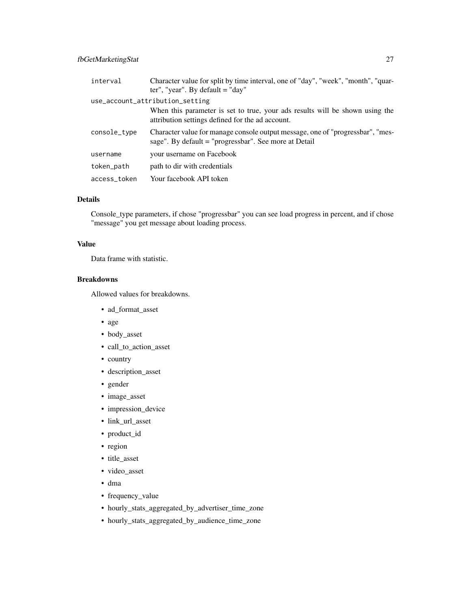# fbGetMarketingStat 27

| interval     | Character value for split by time interval, one of "day", "week", "month", "quar-<br>ter", "year". By default $=$ "day"                 |
|--------------|-----------------------------------------------------------------------------------------------------------------------------------------|
|              | use_account_attribution_setting                                                                                                         |
|              | When this parameter is set to true, your ads results will be shown using the<br>attribution settings defined for the ad account.        |
| console_type | Character value for manage console output message, one of "progressbar", "mes-<br>sage". By default = "progressbar". See more at Detail |
| username     | your username on Facebook                                                                                                               |
| token_path   | path to dir with credentials                                                                                                            |
| access_token | Your facebook API token                                                                                                                 |

# Details

Console\_type parameters, if chose "progressbar" you can see load progress in percent, and if chose "message" you get message about loading process.

# Value

Data frame with statistic.

# Breakdowns

Allowed values for breakdowns.

- ad\_format\_asset
- age
- body\_asset
- call\_to\_action\_asset
- country
- description\_asset
- gender
- image\_asset
- impression\_device
- link\_url\_asset
- product\_id
- region
- title\_asset
- video\_asset
- dma
- frequency\_value
- hourly\_stats\_aggregated\_by\_advertiser\_time\_zone
- hourly\_stats\_aggregated\_by\_audience\_time\_zone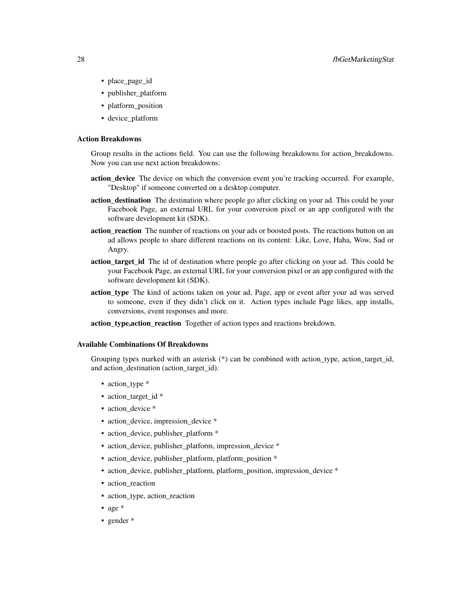- place\_page\_id
- publisher\_platform
- platform\_position
- device\_platform

### Action Breakdowns

Group results in the actions field. You can use the following breakdowns for action\_breakdowns. Now you can use next action breakdowns:

- action device The device on which the conversion event you're tracking occurred. For example, "Desktop" if someone converted on a desktop computer.
- action\_destination The destination where people go after clicking on your ad. This could be your Facebook Page, an external URL for your conversion pixel or an app configured with the software development kit (SDK).
- action reaction The number of reactions on your ads or boosted posts. The reactions button on an ad allows people to share different reactions on its content: Like, Love, Haha, Wow, Sad or Angry.
- action\_target\_id The id of destination where people go after clicking on your ad. This could be your Facebook Page, an external URL for your conversion pixel or an app configured with the software development kit (SDK).
- action\_type The kind of actions taken on your ad, Page, app or event after your ad was served to someone, even if they didn't click on it. Action types include Page likes, app installs, conversions, event responses and more.
- action\_type,action\_reaction Together of action types and reactions brekdown.

#### Available Combinations Of Breakdowns

Grouping types marked with an asterisk (\*) can be combined with action\_type, action\_target\_id, and action\_destination (action\_target\_id).

- action type \*
- action\_target\_id \*
- action\_device \*
- action\_device, impression\_device \*
- action\_device, publisher\_platform \*
- action\_device, publisher\_platform, impression\_device \*
- action device, publisher platform, platform position \*
- action\_device, publisher\_platform, platform\_position, impression\_device \*
- action reaction
- action\_type, action\_reaction
- age \*
- gender \*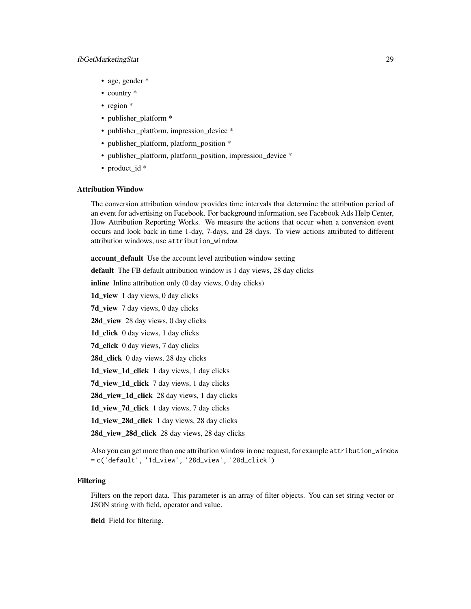# fbGetMarketingStat 29

- age, gender \*
- country  $*$
- region \*
- publisher\_platform \*
- publisher\_platform, impression\_device \*
- publisher\_platform, platform\_position \*
- publisher\_platform, platform\_position, impression\_device \*
- product id \*

## Attribution Window

The conversion attribution window provides time intervals that determine the attribution period of an event for advertising on Facebook. For background information, see Facebook Ads Help Center, How Attribution Reporting Works. We measure the actions that occur when a conversion event occurs and look back in time 1-day, 7-days, and 28 days. To view actions attributed to different attribution windows, use attribution\_window.

account\_default Use the account level attribution window setting default The FB default attribution window is 1 day views, 28 day clicks inline Inline attribution only (0 day views, 0 day clicks) 1d\_view 1 day views, 0 day clicks 7d\_view 7 day views, 0 day clicks 28d\_view 28 day views, 0 day clicks 1d\_click 0 day views, 1 day clicks 7d\_click 0 day views, 7 day clicks 28d\_click 0 day views, 28 day clicks 1d\_view\_1d\_click 1 day views, 1 day clicks 7d view 1d click 7 day views, 1 day clicks 28d\_view\_1d\_click 28 day views, 1 day clicks 1d\_view\_7d\_click 1 day views, 7 day clicks 1d\_view\_28d\_click 1 day views, 28 day clicks 28d\_view\_28d\_click 28 day views, 28 day clicks Also you can get more than one attribution window in one request, for example attribution\_window = c('default', '1d\_view', '28d\_view', '28d\_click')

#### Filtering

Filters on the report data. This parameter is an array of filter objects. You can set string vector or JSON string with field, operator and value.

field Field for filtering.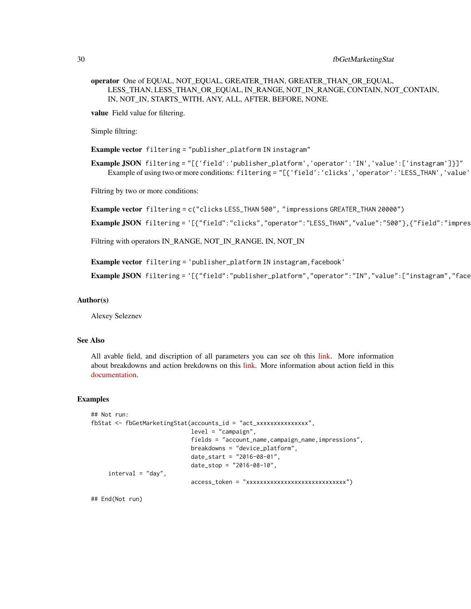# 30 fbGetMarketingStat

operator One of EQUAL, NOT\_EQUAL, GREATER\_THAN, GREATER\_THAN\_OR\_EQUAL, LESS\_THAN, LESS\_THAN\_OR\_EQUAL, IN\_RANGE, NOT\_IN\_RANGE, CONTAIN, NOT\_CONTAIN, IN, NOT\_IN, STARTS\_WITH, ANY, ALL, AFTER, BEFORE, NONE.

value Field value for filtering.

Simple filtring:

Example vector filtering = "publisher\_platform IN instagram"

Example JSON filtering = "[{'field':'publisher\_platform','operator':'IN','value':['instagram']}]" Example of using two or more conditions: filtering = "[{'field':'clicks','operator':'LESS\_THAN','value'

Filtring by two or more conditions:

Example vector filtering = c("clicks LESS\_THAN 500", "impressions GREATER\_THAN 20000")

Example JSON filtering = '[{"field":"clicks","operator":"LESS\_THAN","value":"500"},{"field":"impres

Filtring with operators IN\_RANGE, NOT\_IN\_RANGE, IN, NOT\_IN

Example vector filtering = 'publisher\_platform IN instagram,facebook'

Example JSON filtering = '[{"field":"publisher\_platform","operator":"IN","value":["instagram","face

#### Author(s)

Alexey Seleznev

#### See Also

All avable field, and discription of all parameters you can see oh this [link.](https://developers.facebook.com/docs/marketing-api/insights/parameters) More information about breakdowns and action brekdowns on this [link.](https://developers.facebook.com/docs/marketing-api/insights/breakdowns) More information about action field in this [documentation.](https://developers.facebook.com/docs/marketing-api/reference/ads-action-stats/)

#### Examples

```
## Not run:
fbStat <- fbGetMarketingStat(accounts_id = "act_xxxxxxxxxxxxxxx",
                             level = "campaign",
                             fields = "account_name,campaign_name,impressions",
                             breakdowns = "device_platform",
                             date_start = "2016-08-01",
                             date\_stop = "2016-08-10",interval = "day",access_token = "xxxxxxxxxxxxxxxxxxxxxxxxxxxxx")
```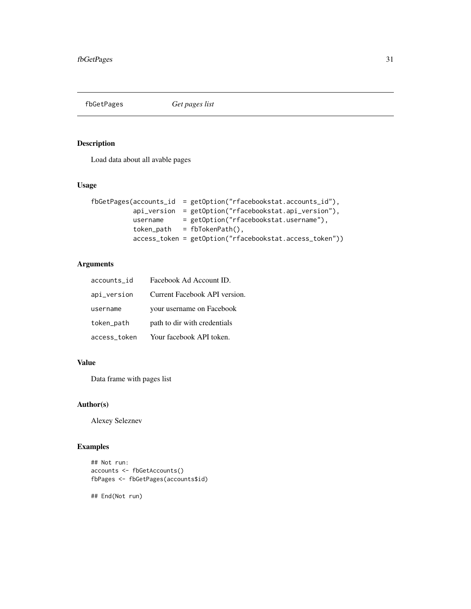<span id="page-30-0"></span>

# Description

Load data about all avable pages

# Usage

```
fbGetPages(accounts_id = getOption("rfacebookstat.accounts_id"),
          api_version = getOption("rfacebookstat.api_version"),
          username = getOption("rfacebookstat.username"),
          token_path = fbTokenPath(),
          access_token = getOption("rfacebookstat.access_token"))
```
# Arguments

| accounts_id  | Facebook Ad Account ID.       |
|--------------|-------------------------------|
| api_version  | Current Facebook API version. |
| username     | your username on Facebook     |
| token_path   | path to dir with credentials  |
| access_token | Your facebook API token.      |

# Value

Data frame with pages list

# Author(s)

Alexey Seleznev

# Examples

```
## Not run:
accounts <- fbGetAccounts()
fbPages <- fbGetPages(accounts$id)
```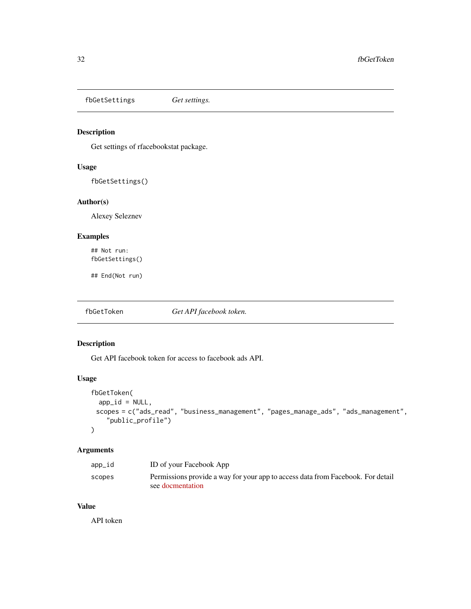<span id="page-31-0"></span>fbGetSettings *Get settings.*

# Description

Get settings of rfacebookstat package.

# Usage

fbGetSettings()

# Author(s)

Alexey Seleznev

# Examples

## Not run: fbGetSettings()

## End(Not run)

fbGetToken *Get API facebook token.*

# Description

Get API facebook token for access to facebook ads API.

#### Usage

```
fbGetToken(
  app_id = NULL,scopes = c("ads_read", "business_management", "pages_manage_ads", "ads_management",
    "public_profile")
\mathcal{L}
```
#### Arguments

| app_id | ID of your Facebook App                                                         |
|--------|---------------------------------------------------------------------------------|
| scopes | Permissions provide a way for your app to access data from Facebook. For detail |
|        | see docmentation                                                                |

# Value

API token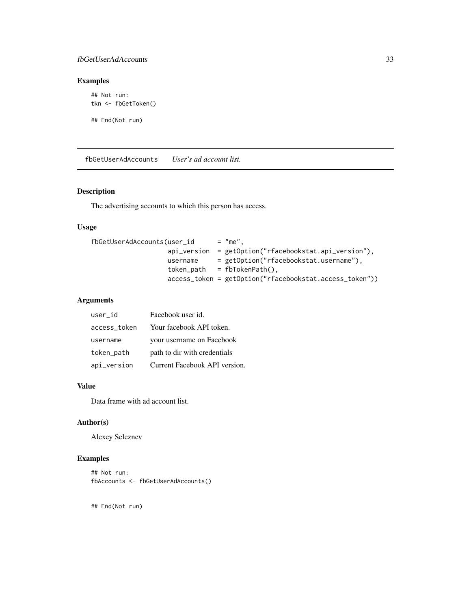# <span id="page-32-0"></span>fbGetUserAdAccounts 33

# Examples

```
## Not run:
tkn <- fbGetToken()
```
## End(Not run)

fbGetUserAdAccounts *User's ad account list.*

# Description

The advertising accounts to which this person has access.

#### Usage

```
fbGetUserAdAccounts(user_id = "me",
                  api_version = getOption("rfacebookstat.api_version"),
                  username = getOption("rfacebookstat.username"),
                  token_path = fbTokenPath(),
                   access_token = getOption("rfacebookstat.access_token"))
```
# Arguments

| user id      | Facebook user id.             |
|--------------|-------------------------------|
| access_token | Your facebook API token.      |
| username     | your username on Facebook     |
| token_path   | path to dir with credentials  |
| api_version  | Current Facebook API version. |

#### Value

Data frame with ad account list.

# Author(s)

Alexey Seleznev

## Examples

```
## Not run:
fbAccounts <- fbGetUserAdAccounts()
```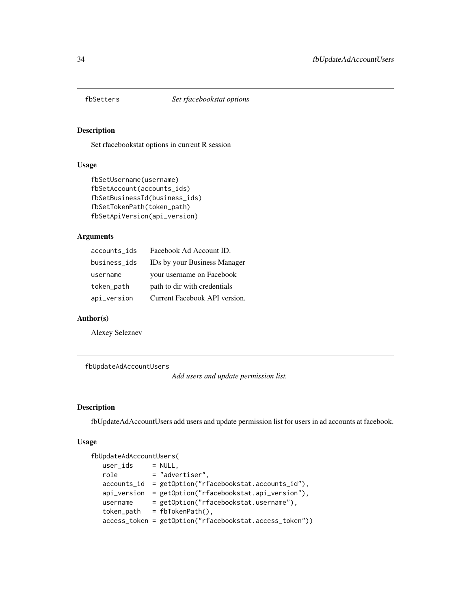<span id="page-33-0"></span>

# Description

Set rfacebookstat options in current R session

# Usage

```
fbSetUsername(username)
fbSetAccount(accounts_ids)
fbSetBusinessId(business_ids)
fbSetTokenPath(token_path)
fbSetApiVersion(api_version)
```
# Arguments

| accounts_ids | Facebook Ad Account ID.       |
|--------------|-------------------------------|
| business_ids | IDs by your Business Manager  |
| username     | your username on Facebook     |
| token_path   | path to dir with credentials  |
| api_version  | Current Facebook API version. |

#### Author(s)

Alexey Seleznev

#### fbUpdateAdAccountUsers

*Add users and update permission list.*

#### Description

fbUpdateAdAccountUsers add users and update permission list for users in ad accounts at facebook.

# Usage

```
fbUpdateAdAccountUsers(
  user\_ids = NULL,
  role = "advertiser",
  accounts_id = getOption("rfacebookstat.accounts_id"),
  api_version = getOption("rfacebookstat.api_version"),
  username = getOption("rfacebookstat.username"),
  token_path = fbTokenPath(),
  access_token = getOption("rfacebookstat.access_token"))
```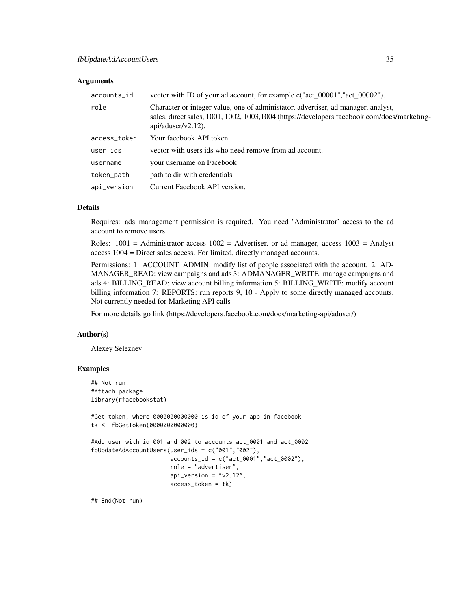#### **Arguments**

| accounts_id  | vector with ID of your ad account, for example c("act_00001","act_00002").                                                                                                                                 |
|--------------|------------------------------------------------------------------------------------------------------------------------------------------------------------------------------------------------------------|
| role         | Character or integer value, one of administator, advertiser, ad manager, analyst,<br>sales, direct sales, 1001, 1002, 1003, 1004 (https://developers.facebook.com/docs/marketing-<br>$api/aduser/v2.12)$ . |
| access_token | Your facebook API token.                                                                                                                                                                                   |
| user_ids     | vector with users ids who need remove from ad account.                                                                                                                                                     |
| username     | your username on Facebook                                                                                                                                                                                  |
| token_path   | path to dir with credentials                                                                                                                                                                               |
| api_version  | Current Facebook API version.                                                                                                                                                                              |

# Details

Requires: ads\_management permission is required. You need 'Administrator' access to the ad account to remove users

Roles:  $1001$  = Administrator access  $1002$  = Advertiser, or ad manager, access  $1003$  = Analyst access 1004 = Direct sales access. For limited, directly managed accounts.

Permissions: 1: ACCOUNT\_ADMIN: modify list of people associated with the account. 2: AD-MANAGER\_READ: view campaigns and ads 3: ADMANAGER\_WRITE: manage campaigns and ads 4: BILLING\_READ: view account billing information 5: BILLING\_WRITE: modify account billing information 7: REPORTS: run reports 9, 10 - Apply to some directly managed accounts. Not currently needed for Marketing API calls

For more details go link (https://developers.facebook.com/docs/marketing-api/aduser/)

#### Author(s)

Alexey Seleznev

#### Examples

```
## Not run:
#Attach package
library(rfacebookstat)
#Get token, where 0000000000000 is id of your app in facebook
tk <- fbGetToken(0000000000000)
#Add user with id 001 and 002 to accounts act_0001 and act_0002
fbUpdateAdAccountUsers(user_ids = c("001","002"),
                       accounts_id = c("act_0001", "act_0002"),role = "advertiser",
                       api_version = "v2.12",
                       access_token = tk)
```